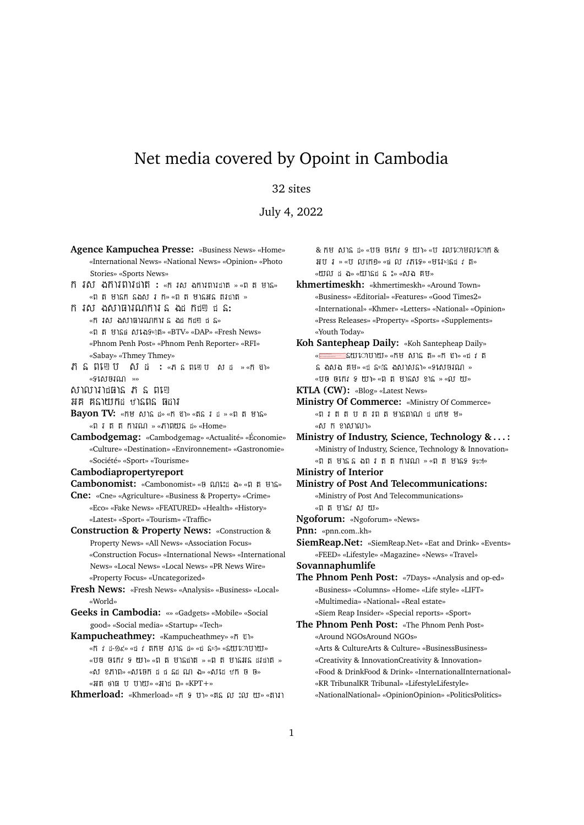## Net media covered by Opoint in Cambodia

## 32 sites

July 4, 2022

- **Agence Kampuchea Presse:** «Business News» «Home» «International News» «National News» «Opinion» «Photo Stories» «Sports News» **:** « » « »  $\overline{\phantom{a}}$  »  $\overline{\phantom{a}}$  »  $\overline{\phantom{a}}$  »  $\overline{\phantom{a}}$  »  $\overline{\phantom{a}}$  »  $\overline{\phantom{a}}$  »  $\overline{\phantom{a}}$ **:** «ក រស ងសាធារណការ ន ងដ កដ្ឋា ដ ន» « » «BTV» «DAP» «Fresh News» «Phnom Penh Post» «Phnom Penh Reporter» «RFI» «Sabay» «Thmey Thmey» **:** « » « » «ទងោយណ »» សាលារាដធាន ភ ន ពញេ អគ គនាយកដ ឋានពន ផដារ **Bayon TV:** «nu wis in «n Un» «ns i i » «n n uis» «ពរត្តការណ » «ភាពយន្ត » «Home» **Cambodgemag:** «Cambodgemag» «Actualité» «Économie» «Culture» «Destination» «Environnement» «Gastronomie» «Société» «Sport» «Tourisme» **Cambodiapropertyreport Cambonomist:** «Cambonomist» « » « » **Cne:** «Cne» «Agriculture» «Business & Property» «Crime» «Eco» «Fake News» «FEATURED» «Health» «History» «Latest» «Sport» «Tourism» «Traffic» **Construction & Property News:** «Construction & Property News» «All News» «Association Focus» «Construction Focus» «International News» «International News» «Local News» «Local News» «PR News Wire» «Property Focus» «Uncategorized» **Fresh News:** «Fresh News» «Analysis» «Business» «Local» «World» **Geeks in Cambodia:** «» «Gadgets» «Mobile» «Social good» «Social media» «Startup» «Tech» **Kampucheathmey:** «Kampucheathmey» « » «ñ i i-9 < » « i ññ b ô l î i» « i î s » « swij vo l vo »  $\ast$ បថ ចកេះ ទ យ »  $\ast$ ព ត មានងាត »  $\ast$ ព ត មានអន ដរងាត » «សំ ខភាព» «សំផេក ដ ដ និដ ណ ង» «សំដើ ឋក មិ មិ»  $\overline{\phantom{a}}$   $\overline{\phantom{a}}$   $\overline{\phantom{a}}$   $\overline{\phantom{a}}$   $\overline{\phantom{a}}$   $\overline{\phantom{a}}$   $\overline{\phantom{a}}$   $\overline{\phantom{a}}$   $\overline{\phantom{a}}$   $\overline{\phantom{a}}$   $\overline{\phantom{a}}$   $\overline{\phantom{a}}$   $\overline{\phantom{a}}$   $\overline{\phantom{a}}$   $\overline{\phantom{a}}$   $\overline{\phantom{a}}$   $\overline{\phantom{a}}$   $\overline{\phantom{a}}$   $\overline{\$ **Khmerload:** «Khmerload» «ทิ 9 บา» «ติล ณ :ณ พ. «ตามา
- $\&$   $\hbox{R}$   $\uparrow$   $\&$   $\hbox{R}$   $\uparrow$   $\&$   $\uparrow$   $\uparrow$   $\uparrow$   $\uparrow$   $\uparrow$   $\uparrow$   $\uparrow$   $\downarrow$   $\downarrow$   $\downarrow$   $\uparrow$   $\uparrow$   $\uparrow$   $\uparrow$   $\uparrow$   $\uparrow$   $\uparrow$   $\uparrow$   $\uparrow$   $\uparrow$   $\uparrow$   $\uparrow$   $\uparrow$   $\uparrow$   $\uparrow$   $\uparrow$   $\uparrow$   $\uparrow$   $\uparrow$   $\$  $\texttt{HU}$  i » « $\texttt{U}$   $\texttt{O}$   $\texttt{O}$   $\texttt{O}$   $\texttt{O}$   $\texttt{O}$   $\texttt{O}$   $\texttt{O}$   $\texttt{O}$   $\texttt{O}$   $\texttt{O}$   $\texttt{O}$   $\texttt{O}$   $\texttt{O}$   $\texttt{O}$   $\texttt{O}$   $\texttt{O}$   $\texttt{O}$   $\texttt{O}$   $\texttt{O}$   $\texttt{O}$   $\texttt{O}$   $\texttt{O}$  « » « » « »
- **khmertimeskh:** «khmertimeskh» «Around Town» «Business» «Editorial» «Features» «Good Times2» «International» «Khmer» «Letters» «National» «Opinion» «Press Releases» «Property» «Sports» «Supplements» «Youth Today»
- **Koh Santepheap Daily:** «Koh Santepheap Daily» «<del>====</del>= SW10101120» «កម សាន ត» «ក ៖ា» «  $S$  ងសង គម» «ជ នៈន ងសាសនា» «ទសេចរណ » « បថ ចកេះ ៖ យ » «ព ត មានស ខាន » «ល យ»

**KTLA (CW):** «Blog» «Latest News»

- **Ministry Of Commerce:** «Ministry Of Commerce» «ពរតតបតរពតមានពាណ ដដាម ម» «សំរុក ខាសាលា»
- **Ministry of Industry, Science, Technology & . . . :** «Ministry of Industry, Science, Technology & Innovation»  $\overline{\phantom{a}}$   $\overline{\phantom{a}}$   $\overline{\phantom{a}}$   $\overline{\phantom{a}}$   $\overline{\phantom{a}}$   $\overline{\phantom{a}}$   $\overline{\phantom{a}}$   $\overline{\phantom{a}}$   $\overline{\phantom{a}}$   $\overline{\phantom{a}}$   $\overline{\phantom{a}}$   $\overline{\phantom{a}}$   $\overline{\phantom{a}}$   $\overline{\phantom{a}}$   $\overline{\phantom{a}}$   $\overline{\phantom{a}}$   $\overline{\phantom{a}}$   $\overline{\phantom{a}}$   $\overline{\$
- **Ministry of Interior**
- **Ministry of Post And Telecommunications:** «Ministry of Post And Telecommunications» «ពតមាន សយ»
- **Ngoforum:** «Ngoforum» «News»
- **Pnn:** «pnn.com..kh»
- **SiemReap.Net:** «SiemReap.Net» «Eat and Drink» «Events» «FEED» «Lifestyle» «Magazine» «News» «Travel»

**Sovannaphumlife**

- **The Phnom Penh Post:** «7Days» «Analysis and op-ed» «Business» «Columns» «Home» «Life style» «LIFT» «Multimedia» «National» «Real estate» «Siem Reap Insider» «Special reports» «Sport»
- **The Phnom Penh Post:** «The Phnom Penh Post» «Around NGOsAround NGOs» «Arts & CultureArts & Culture» «BusinessBusiness» «Creativity & InnovationCreativity & Innovation» «Food & DrinkFood & Drink» «InternationalInternational» «KR TribunalKR Tribunal» «LifestyleLifestyle» «NationalNational» «OpinionOpinion» «PoliticsPolitics»